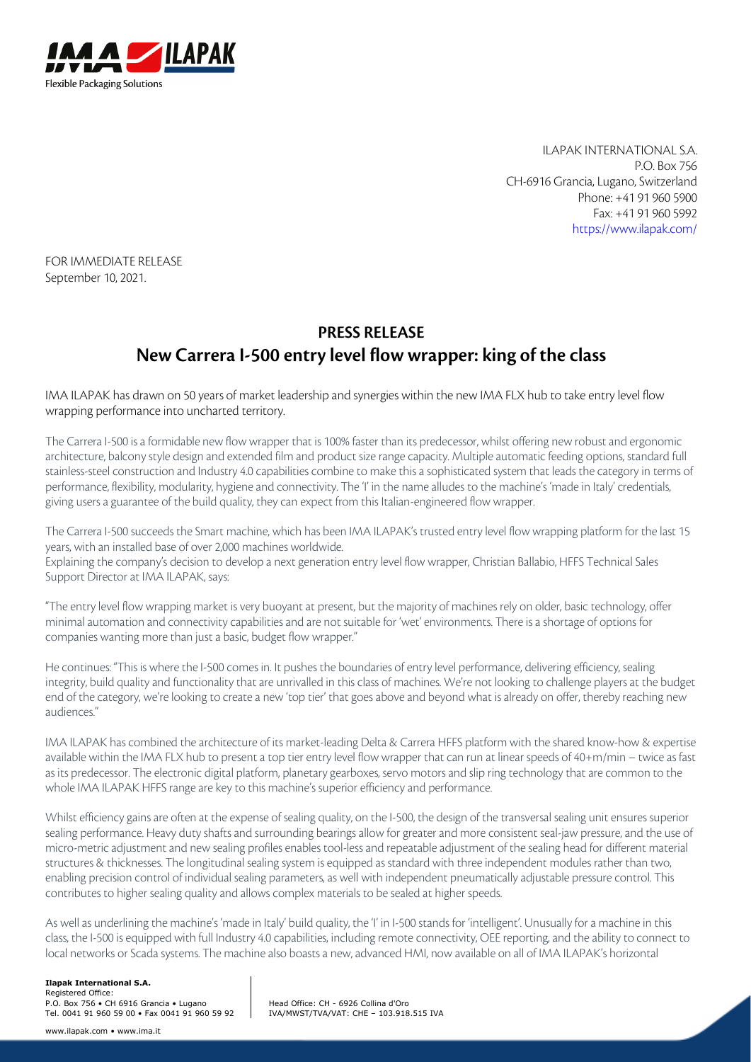

ILAPAK INTERNATIONAL S.A. P.O. Box 756 CH-6916 Grancia, Lugano, Switzerland Phone: +41 91 960 5900 Fax: +41 91 960 5992 https://www.ilapak.com/

FOR IMMEDIATE RELEASE September 10, 2021.

# **PRESS RELEASE New Carrera I-500 entry level flow wrapper: king of the class**

IMA ILAPAK has drawn on 50 years of market leadership and synergies within the new IMA FLX hub to take entry level flow wrapping performance into uncharted territory.

The Carrera I-500 is a formidable new flow wrapper that is 100% faster than its predecessor, whilst offering new robust and ergonomic architecture, balcony style design and extended film and product size range capacity. Multiple automatic feeding options, standard full stainless-steel construction and Industry 4.0 capabilities combine to make this a sophisticated system that leads the category in terms of performance, flexibility, modularity, hygiene and connectivity. The 'I' in the name alludes to the machine's 'made in Italy' credentials, giving users a guarantee of the build quality, they can expect from this Italian-engineered flow wrapper.

The Carrera I-500 succeeds the Smart machine, which has been IMA ILAPAK's trusted entry level flow wrapping platform for the last 15 years, with an installed base of over 2,000 machines worldwide.

Explaining the company's decision to develop a next generation entry level flow wrapper, Christian Ballabio, HFFS Technical Sales Support Director at IMA ILAPAK, says:

"The entry level flow wrapping market is very buoyant at present, but the majority of machines rely on older, basic technology, offer minimal automation and connectivity capabilities and are not suitable for 'wet' environments. There is a shortage of options for companies wanting more than just a basic, budget flow wrapper."

He continues: "This is where the I-500 comes in. It pushes the boundaries of entry level performance, delivering efficiency, sealing integrity, build quality and functionality that are unrivalled in this class of machines. We're not looking to challenge players at the budget end of the category, we're looking to create a new 'top tier' that goes above and beyond what is already on offer, thereby reaching new audiences."

IMA ILAPAK has combined the architecture of its market-leading Delta & Carrera HFFS platform with the shared know-how & expertise available within the IMA FLX hub to present a top tier entry level flow wrapper that can run at linear speeds of 40+m/min – twice as fast as its predecessor. The electronic digital platform, planetary gearboxes, servo motors and slip ring technology that are common to the whole IMA ILAPAK HFFS range are key to this machine's superior efficiency and performance.

Whilst efficiency gains are often at the expense of sealing quality, on the I-500, the design of the transversal sealing unit ensures superior sealing performance. Heavy duty shafts and surrounding bearings allow for greater and more consistent seal-jaw pressure, and the use of micro-metric adjustment and new sealing profiles enables tool-less and repeatable adjustment of the sealing head for different material structures & thicknesses. The longitudinal sealing system is equipped as standard with three independent modules rather than two, enabling precision control of individual sealing parameters, as well with independent pneumatically adjustable pressure control. This contributes to higher sealing quality and allows complex materials to be sealed at higher speeds.

As well as underlining the machine's 'made in Italy' build quality, the 'I' in I-500 stands for 'intelligent'. Unusually for a machine in this class, the I-500 is equipped with full Industry 4.0 capabilities, including remote connectivity, OEE reporting, and the ability to connect to local networks or Scada systems. The machine also boasts a new, advanced HMI, now available on all of IMA ILAPAK's horizontal

#### **Ilapak International S.A.**

Registered Office: P.O. Box 756 • CH 6916 Grancia • Lugano Tel. 0041 91 960 59 00 • Fax 0041 91 960 59 92

Head Office: CH - 6926 Collina d'Oro IVA/MWST/TVA/VAT: CHE – 103.918.515 IVA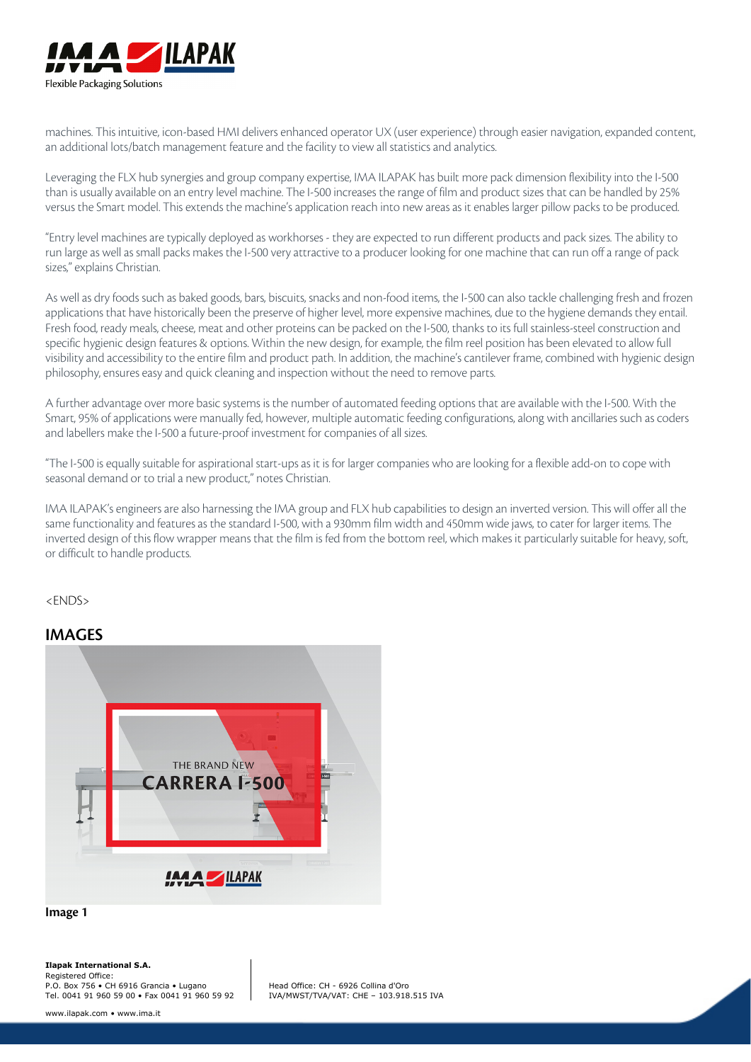

machines. This intuitive, icon-based HMI delivers enhanced operator UX (user experience) through easier navigation, expanded content, an additional lots/batch management feature and the facility to view all statistics and analytics.

Leveraging the FLX hub synergies and group company expertise, IMA ILAPAK has built more pack dimension flexibility into the I-500 than is usually available on an entry level machine. The I-500 increases the range of film and product sizes that can be handled by 25% versus the Smart model. This extends the machine's application reach into new areas as it enables larger pillow packs to be produced.

"Entry level machines are typically deployed as workhorses - they are expected to run different products and pack sizes. The ability to run large as well as small packs makes the I-500 very attractive to a producer looking for one machine that can run off a range of pack sizes," explains Christian.

As well as dry foods such as baked goods, bars, biscuits, snacks and non-food items, the I-500 can also tackle challenging fresh and frozen applications that have historically been the preserve of higher level, more expensive machines, due to the hygiene demands they entail. Fresh food, ready meals, cheese, meat and other proteins can be packed on the I-500, thanks to its full stainless-steel construction and specific hygienic design features & options. Within the new design, for example, the film reel position has been elevated to allow full visibility and accessibility to the entire film and product path. In addition, the machine's cantilever frame, combined with hygienic design philosophy, ensures easy and quick cleaning and inspection without the need to remove parts.

A further advantage over more basic systems is the number of automated feeding options that are available with the I-500. With the Smart, 95% of applications were manually fed, however, multiple automatic feeding configurations, along with ancillaries such as coders and labellers make the I-500 a future-proof investment for companies of all sizes.

"The I-500 is equally suitable for aspirational start-ups as it is for larger companies who are looking for a flexible add-on to cope with seasonal demand or to trial a new product," notes Christian.

IMA ILAPAK's engineers are also harnessing the IMA group and FLX hub capabilities to design an inverted version. This will offer all the same functionality and features as the standard I-500, with a 930mm film width and 450mm wide jaws, to cater for larger items. The inverted design of this flow wrapper means that the film is fed from the bottom reel, which makes it particularly suitable for heavy, soft, or difficult to handle products.

<ENDS>

### **IMAGES**



**Image 1**

Head Office: CH - 6926 Collina d'Oro IVA/MWST/TVA/VAT: CHE – 103.918.515 IVA